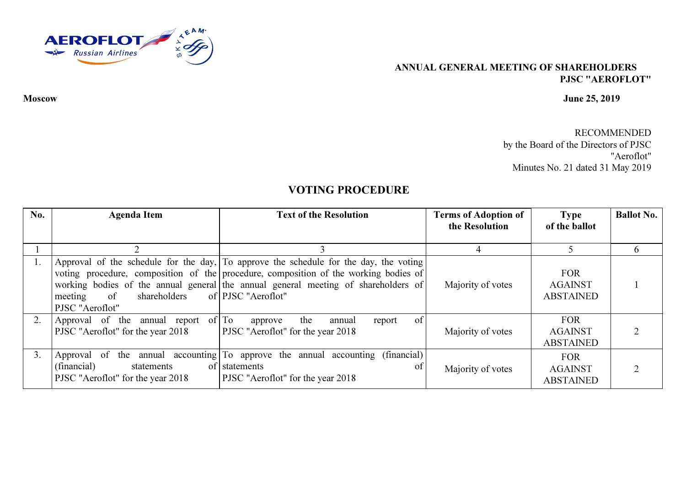

## ANNUAL GENERAL MEETING OF SHAREHOLDERSPJSC "AEROFLOT"

## Moscow June 25, 2019

RECOMMENDED by the Board of the Directors of PJSC "Aeroflot" Minutes No. 21 dated 31 May 2019

## VOTING PROCEDURE

| No. | <b>Agenda Item</b>                                                               | <b>Text of the Resolution</b>                                                                                                                                                                                                                                                             | <b>Terms of Adoption of</b><br>the Resolution | <b>Type</b><br>of the ballot                     | <b>Ballot No.</b> |
|-----|----------------------------------------------------------------------------------|-------------------------------------------------------------------------------------------------------------------------------------------------------------------------------------------------------------------------------------------------------------------------------------------|-----------------------------------------------|--------------------------------------------------|-------------------|
|     |                                                                                  |                                                                                                                                                                                                                                                                                           |                                               |                                                  | 6                 |
|     | of shareholders<br>meeting<br>PJSC "Aeroflot"                                    | Approval of the schedule for the day, To approve the schedule for the day, the voting<br>voting procedure, composition of the procedure, composition of the working bodies of<br>working bodies of the annual general the annual general meeting of shareholders of<br>of PJSC "Aeroflot" | Majority of votes                             | <b>FOR</b><br><b>AGAINST</b><br><b>ABSTAINED</b> |                   |
|     | Approval of the annual report of $\Gamma$ o<br>PJSC "Aeroflot" for the year 2018 | of<br>the<br>annual<br>report<br>approve<br><b>PJSC</b> "Aeroflot" for the year 2018                                                                                                                                                                                                      | Majority of votes                             | <b>FOR</b><br><b>AGAINST</b><br><b>ABSTAINED</b> |                   |
| 3.  | (financial)<br>statements<br>PJSC "Aeroflot" for the year 2018                   | Approval of the annual accounting To approve the annual accounting (financial)<br>of statements<br><sub>of</sub><br>PJSC "Aeroflot" for the year 2018                                                                                                                                     | Majority of votes                             | <b>FOR</b><br><b>AGAINST</b><br><b>ABSTAINED</b> |                   |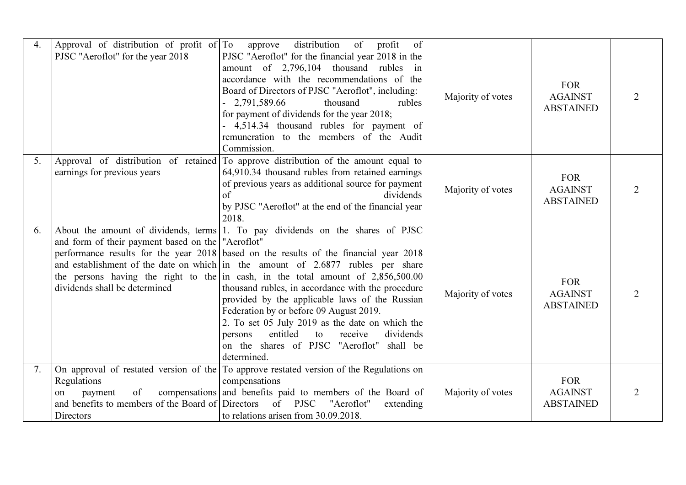| 4. | Approval of distribution of profit of To                                 | of<br>distribution<br>profit<br>of<br>approve                                                                                                                                             |                   |                                                  |  |
|----|--------------------------------------------------------------------------|-------------------------------------------------------------------------------------------------------------------------------------------------------------------------------------------|-------------------|--------------------------------------------------|--|
|    | PJSC "Aeroflot" for the year 2018                                        | PJSC "Aeroflot" for the financial year 2018 in the<br>amount of 2,796,104 thousand rubles in<br>accordance with the recommendations of the                                                |                   | <b>FOR</b>                                       |  |
|    |                                                                          | Board of Directors of PJSC "Aeroflot", including:<br>2,791,589.66<br>thousand<br>rubles<br>for payment of dividends for the year 2018;<br>- 4,514.34 thousand rubles for payment of       | Majority of votes | <b>AGAINST</b><br><b>ABSTAINED</b>               |  |
|    |                                                                          | remuneration to the members of the Audit<br>Commission.                                                                                                                                   |                   |                                                  |  |
| 5. |                                                                          | Approval of distribution of retained To approve distribution of the amount equal to                                                                                                       |                   |                                                  |  |
|    | earnings for previous years                                              | 64,910.34 thousand rubles from retained earnings<br>of previous years as additional source for payment<br>$\sigma$ f<br>dividends                                                         | Majority of votes | <b>FOR</b><br><b>AGAINST</b>                     |  |
|    |                                                                          | by PJSC "Aeroflot" at the end of the financial year<br>2018.                                                                                                                              |                   | <b>ABSTAINED</b>                                 |  |
| 6. | and form of their payment based on the "Aeroflot"                        | About the amount of dividends, terms 1. To pay dividends on the shares of PJSC                                                                                                            |                   |                                                  |  |
|    |                                                                          | performance results for the year 2018 based on the results of the financial year 2018<br>and establishment of the date on which in the amount of 2.6877 rubles per share                  |                   |                                                  |  |
|    | dividends shall be determined                                            | the persons having the right to the in cash, in the total amount of $2,856,500.00$<br>thousand rubles, in accordance with the procedure<br>provided by the applicable laws of the Russian | Majority of votes | <b>FOR</b><br><b>AGAINST</b><br><b>ABSTAINED</b> |  |
|    |                                                                          | Federation by or before 09 August 2019.<br>2. To set 05 July 2019 as the date on which the                                                                                                |                   |                                                  |  |
|    |                                                                          | entitled<br>dividends<br>to<br>receive<br>persons<br>on the shares of PJSC "Aeroflot"<br>shall be<br>determined.                                                                          |                   |                                                  |  |
| 7. |                                                                          | On approval of restated version of the To approve restated version of the Regulations on                                                                                                  |                   |                                                  |  |
|    | Regulations                                                              | compensations                                                                                                                                                                             |                   | <b>FOR</b>                                       |  |
|    | of<br>payment<br>on<br>and benefits to members of the Board of Directors | compensations and benefits paid to members of the Board of<br>of PJSC<br>"Aeroflot"<br>extending                                                                                          | Majority of votes | <b>AGAINST</b><br><b>ABSTAINED</b>               |  |
|    | Directors                                                                | to relations arisen from 30.09.2018.                                                                                                                                                      |                   |                                                  |  |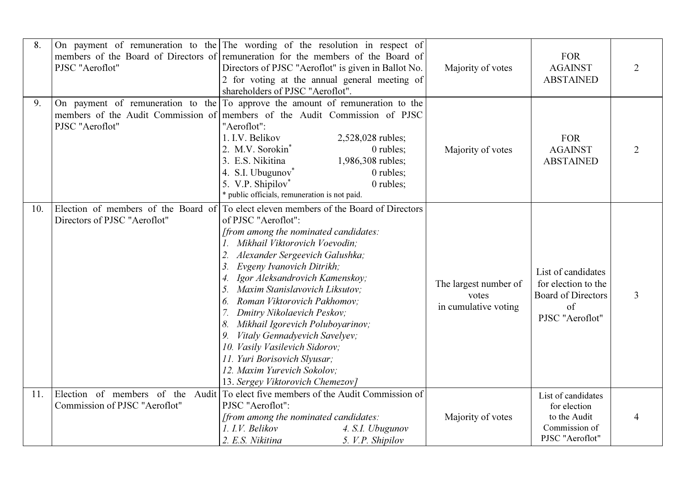| 8.  | PJSC "Aeroflot"                                                     | On payment of remuneration to the The wording of the resolution in respect of<br>members of the Board of Directors of remuneration for the members of the Board of<br>Directors of PJSC "Aeroflot" is given in Ballot No.<br>2 for voting at the annual general meeting of<br>shareholders of PJSC "Aeroflot".                                                                                                                                                                                                                                                                                      | Majority of votes                                      | <b>FOR</b><br><b>AGAINST</b><br><b>ABSTAINED</b>                                                        | $\overline{2}$ |
|-----|---------------------------------------------------------------------|-----------------------------------------------------------------------------------------------------------------------------------------------------------------------------------------------------------------------------------------------------------------------------------------------------------------------------------------------------------------------------------------------------------------------------------------------------------------------------------------------------------------------------------------------------------------------------------------------------|--------------------------------------------------------|---------------------------------------------------------------------------------------------------------|----------------|
| 9.  | PJSC "Aeroflot"                                                     | On payment of remuneration to the $\Gamma$ To approve the amount of remuneration to the<br>members of the Audit Commission of members of the Audit Commission of PJSC<br>"Aeroflot":<br>1. I.V. Belikov<br>2,528,028 rubles;<br>2. M.V. Sorokin <sup>*</sup><br>0 rubles;<br>3. E.S. Nikitina<br>1,986,308 rubles;<br>4. S.I. Ubugunov <sup>*</sup><br>0 rubles;<br>5. V.P. Shipilov*<br>0 rubles;<br>* public officials, remuneration is not paid.                                                                                                                                                 | Majority of votes                                      | <b>FOR</b><br><b>AGAINST</b><br><b>ABSTAINED</b>                                                        | $\overline{2}$ |
| 10. | Election of members of the Board of<br>Directors of PJSC "Aeroflot" | To elect eleven members of the Board of Directors<br>of PJSC "Aeroflot":<br>[from among the nominated candidates:<br>1. Mikhail Viktorovich Voevodin;<br>2.<br>Alexander Sergeevich Galushka;<br>3.<br>Evgeny Ivanovich Ditrikh;<br>Igor Aleksandrovich Kamenskoy;<br>Maxim Stanislavovich Liksutov;<br>5.<br>Roman Viktorovich Pakhomov;<br>6.<br>Dmitry Nikolaevich Peskov;<br>Mikhail Igorevich Poluboyarinov;<br>8.<br>Vitaly Gennadyevich Savelyev;<br>9.<br>10. Vasily Vasilevich Sidorov;<br>11. Yuri Borisovich Slyusar;<br>12. Maxim Yurevich Sokolov;<br>13. Sergey Viktorovich Chemezov] | The largest number of<br>votes<br>in cumulative voting | List of candidates<br>for election to the<br><b>Board of Directors</b><br>$\sigma$ f<br>PJSC "Aeroflot" | $\mathfrak{Z}$ |
| 11. | Election of members of the<br>Commission of PJSC "Aeroflot"         | Audit To elect five members of the Audit Commission of<br>PJSC "Aeroflot":<br>[from among the nominated candidates:<br>1. I.V. Belikov<br>4. S.I. Ubugunov<br>2. E.S. Nikitina<br>5. V.P. Shipilov                                                                                                                                                                                                                                                                                                                                                                                                  | Majority of votes                                      | List of candidates<br>for election<br>to the Audit<br>Commission of<br>PJSC "Aeroflot"                  | 4              |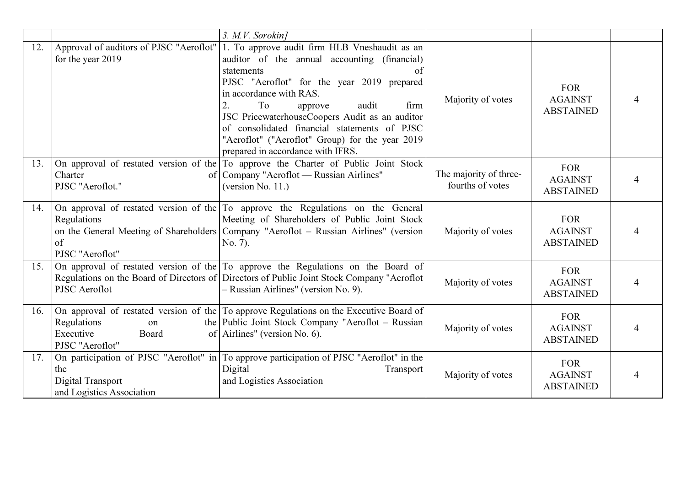|     |                                                              | 3. M.V. Sorokin]                                                                                                                                                                                                                                                                                                                                                                                                             |                                            |                                                  |  |
|-----|--------------------------------------------------------------|------------------------------------------------------------------------------------------------------------------------------------------------------------------------------------------------------------------------------------------------------------------------------------------------------------------------------------------------------------------------------------------------------------------------------|--------------------------------------------|--------------------------------------------------|--|
| 12. | Approval of auditors of PJSC "Aeroflot"<br>for the year 2019 | 1. To approve audit firm HLB Vneshaudit as an<br>auditor of the annual accounting (financial)<br>statements<br>of<br>PJSC "Aeroflot" for the year 2019 prepared<br>in accordance with RAS.<br>To<br>audit<br>firm<br>2.<br>approve<br>JSC PricewaterhouseCoopers Audit as an auditor<br>of consolidated financial statements of PJSC<br>"Aeroflot" ("Aeroflot" Group) for the year 2019<br>prepared in accordance with IFRS. | Majority of votes                          | <b>FOR</b><br><b>AGAINST</b><br><b>ABSTAINED</b> |  |
| 13. | Charter<br>PJSC "Aeroflot."                                  | On approval of restated version of the To approve the Charter of Public Joint Stock<br>of   Company "Aeroflot — Russian Airlines"<br>(version No. 11.)                                                                                                                                                                                                                                                                       | The majority of three-<br>fourths of votes | <b>FOR</b><br><b>AGAINST</b><br><b>ABSTAINED</b> |  |
| 14. | Regulations<br>of<br>PJSC "Aeroflot"                         | On approval of restated version of the To approve the Regulations on the General<br>Meeting of Shareholders of Public Joint Stock<br>on the General Meeting of Shareholders Company "Aeroflot – Russian Airlines" (version<br>No. 7).                                                                                                                                                                                        | Majority of votes                          | <b>FOR</b><br><b>AGAINST</b><br><b>ABSTAINED</b> |  |
| 15. | PJSC Aeroflot                                                | On approval of restated version of the $\Gamma$ To approve the Regulations on the Board of<br>Regulations on the Board of Directors of Directors of Public Joint Stock Company "Aeroflot<br>- Russian Airlines" (version No. 9).                                                                                                                                                                                             | Majority of votes                          | <b>FOR</b><br><b>AGAINST</b><br><b>ABSTAINED</b> |  |
| 16. | Regulations<br>on<br>Executive<br>Board<br>PJSC "Aeroflot"   | On approval of restated version of the To approve Regulations on the Executive Board of<br>the Public Joint Stock Company "Aeroflot – Russian<br>of Airlines" (version No. 6).                                                                                                                                                                                                                                               | Majority of votes                          | <b>FOR</b><br><b>AGAINST</b><br><b>ABSTAINED</b> |  |
| 17. | the<br>Digital Transport<br>and Logistics Association        | On participation of PJSC "Aeroflot" in To approve participation of PJSC "Aeroflot" in the<br>Digital<br>Transport<br>and Logistics Association                                                                                                                                                                                                                                                                               | Majority of votes                          | <b>FOR</b><br><b>AGAINST</b><br><b>ABSTAINED</b> |  |